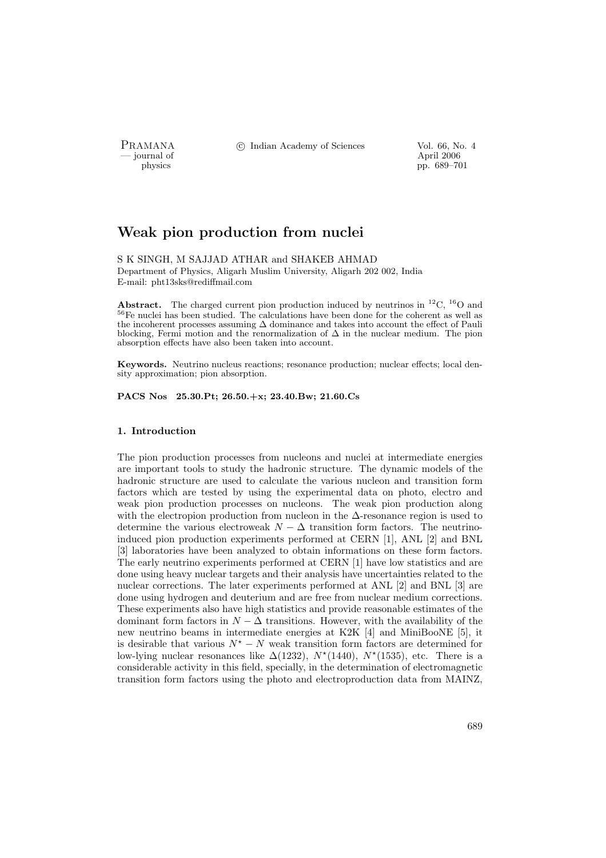- journal of<br>physics

PRAMANA <sup>©</sup>© Indian Academy of Sciences Vol. 66, No. 4<br>
— journal of April 2006

pp. 689–701

# Weak pion production from nuclei

S K SINGH, M SAJJAD ATHAR and SHAKEB AHMAD

Department of Physics, Aligarh Muslim University, Aligarh 202 002, India E-mail: pht13sks@rediffmail.com

**Abstract.** The charged current pion production induced by neutrinos in  ${}^{12}C$ ,  ${}^{16}O$  and <sup>56</sup>Fe nuclei has been studied. The calculations have been done for the coherent as well as the incoherent processes assuming ∆ dominance and takes into account the effect of Pauli blocking, Fermi motion and the renormalization of  $\Delta$  in the nuclear medium. The pion absorption effects have also been taken into account.

Keywords. Neutrino nucleus reactions; resonance production; nuclear effects; local density approximation; pion absorption.

PACS Nos 25.30.Pt; 26.50.+x; 23.40.Bw; 21.60.Cs

## 1. Introduction

The pion production processes from nucleons and nuclei at intermediate energies are important tools to study the hadronic structure. The dynamic models of the hadronic structure are used to calculate the various nucleon and transition form factors which are tested by using the experimental data on photo, electro and weak pion production processes on nucleons. The weak pion production along with the electropion production from nucleon in the  $\Delta$ -resonance region is used to determine the various electroweak  $N - \Delta$  transition form factors. The neutrinoinduced pion production experiments performed at CERN [1], ANL [2] and BNL [3] laboratories have been analyzed to obtain informations on these form factors. The early neutrino experiments performed at CERN [1] have low statistics and are done using heavy nuclear targets and their analysis have uncertainties related to the nuclear corrections. The later experiments performed at ANL [2] and BNL [3] are done using hydrogen and deuterium and are free from nuclear medium corrections. These experiments also have high statistics and provide reasonable estimates of the dominant form factors in  $N - \Delta$  transitions. However, with the availability of the new neutrino beams in intermediate energies at K2K [4] and MiniBooNE [5], it is desirable that various  $N^* - N$  weak transition form factors are determined for low-lying nuclear resonances like  $\Delta(1232)$ ,  $N^*(1440)$ ,  $N^*(1535)$ , etc. There is a considerable activity in this field, specially, in the determination of electromagnetic transition form factors using the photo and electroproduction data from MAINZ,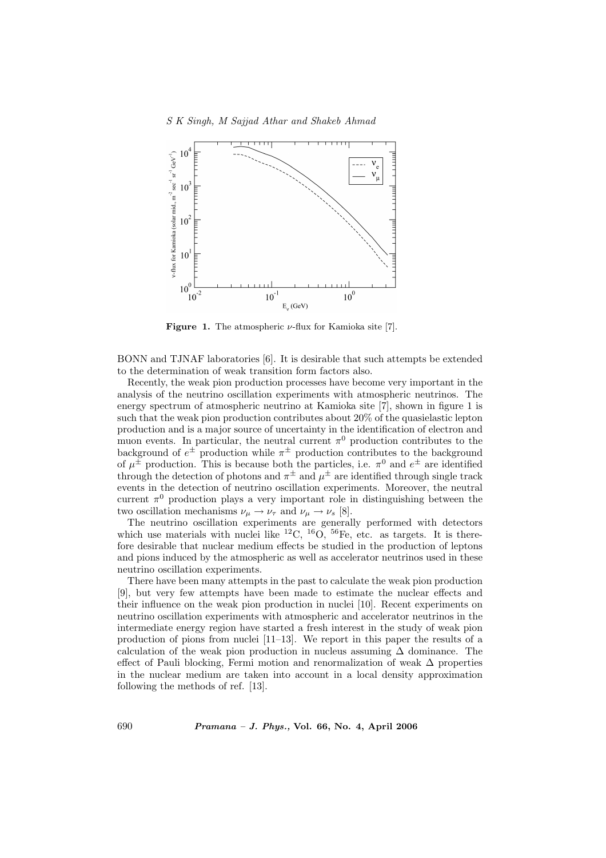

**Figure 1.** The atmospheric  $\nu$ -flux for Kamioka site [7].

BONN and TJNAF laboratories [6]. It is desirable that such attempts be extended to the determination of weak transition form factors also.

Recently, the weak pion production processes have become very important in the analysis of the neutrino oscillation experiments with atmospheric neutrinos. The energy spectrum of atmospheric neutrino at Kamioka site [7], shown in figure 1 is such that the weak pion production contributes about 20% of the quasielastic lepton production and is a major source of uncertainty in the identification of electron and muon events. In particular, the neutral current  $\pi^0$  production contributes to the background of  $e^{\pm}$  production while  $\pi^{\pm}$  production contributes to the background of  $\mu^{\pm}$  production. This is because both the particles, i.e.  $\pi^{0}$  and  $e^{\pm}$  are identified through the detection of photons and  $\pi^{\pm}$  and  $\mu^{\pm}$  are identified through single track events in the detection of neutrino oscillation experiments. Moreover, the neutral current  $\pi^0$  production plays a very important role in distinguishing between the two oscillation mechanisms  $\nu_{\mu} \rightarrow \nu_{\tau}$  and  $\nu_{\mu} \rightarrow \nu_{s}$  [8].

The neutrino oscillation experiments are generally performed with detectors which use materials with nuclei like  ${}^{12}C, {}^{16}O, {}^{56}Fe,$  etc. as targets. It is therefore desirable that nuclear medium effects be studied in the production of leptons and pions induced by the atmospheric as well as accelerator neutrinos used in these neutrino oscillation experiments.

There have been many attempts in the past to calculate the weak pion production [9], but very few attempts have been made to estimate the nuclear effects and their influence on the weak pion production in nuclei [10]. Recent experiments on neutrino oscillation experiments with atmospheric and accelerator neutrinos in the intermediate energy region have started a fresh interest in the study of weak pion production of pions from nuclei [11–13]. We report in this paper the results of a calculation of the weak pion production in nucleus assuming ∆ dominance. The effect of Pauli blocking, Fermi motion and renormalization of weak  $\Delta$  properties in the nuclear medium are taken into account in a local density approximation following the methods of ref. [13].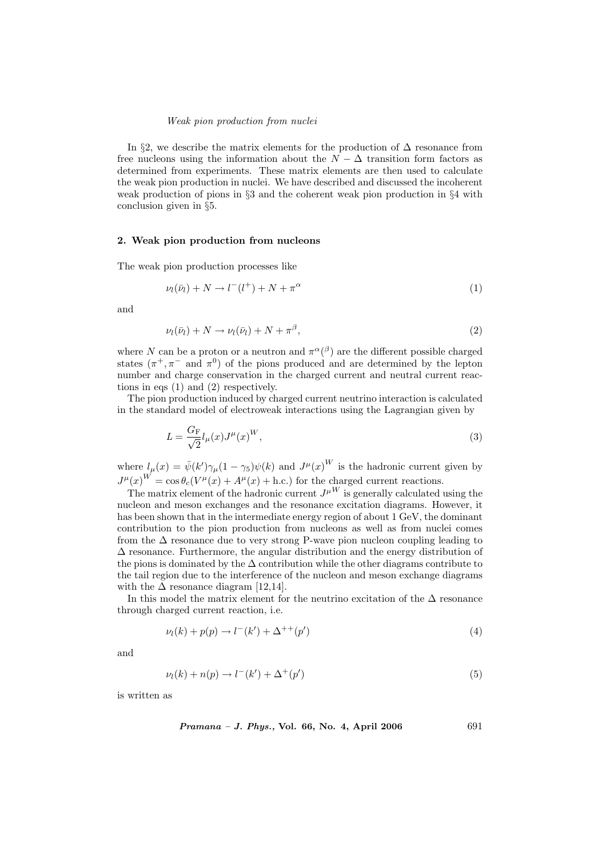In §2, we describe the matrix elements for the production of  $\Delta$  resonance from free nucleons using the information about the  $N - \Delta$  transition form factors as determined from experiments. These matrix elements are then used to calculate the weak pion production in nuclei. We have described and discussed the incoherent weak production of pions in §3 and the coherent weak pion production in §4 with conclusion given in §5.

#### 2. Weak pion production from nucleons

The weak pion production processes like

$$
\nu_l(\bar{\nu}_l) + N \to l^-(l^+) + N + \pi^{\alpha} \tag{1}
$$

and

$$
\nu_l(\bar{\nu}_l) + N \to \nu_l(\bar{\nu}_l) + N + \pi^{\beta},\tag{2}
$$

where N can be a proton or a neutron and  $\pi^{\alpha}(\beta)$  are the different possible charged states  $(\pi^+, \pi^-)$  and  $\pi^0$  of the pions produced and are determined by the lepton number and charge conservation in the charged current and neutral current reactions in eqs (1) and (2) respectively.

The pion production induced by charged current neutrino interaction is calculated in the standard model of electroweak interactions using the Lagrangian given by

$$
L = \frac{G_{\mathcal{F}}}{\sqrt{2}} l_{\mu}(x) J^{\mu}(x)^{W},\tag{3}
$$

where  $l_\mu(x) = \bar{\psi}(k')\gamma_\mu(1-\gamma_5)\psi(k)$  and  $J^\mu(x)^W$  is the hadronic current given by  $J^{\mu}(x)^{W} = \cos \theta_c (V^{\mu}(x) + A^{\mu}(x) + \text{h.c.})$  for the charged current reactions.

The matrix element of the hadronic current  $J^{\mu W}$  is generally calculated using the nucleon and meson exchanges and the resonance excitation diagrams. However, it has been shown that in the intermediate energy region of about 1 GeV, the dominant contribution to the pion production from nucleons as well as from nuclei comes from the  $\Delta$  resonance due to very strong P-wave pion nucleon coupling leading to ∆ resonance. Furthermore, the angular distribution and the energy distribution of the pions is dominated by the  $\Delta$  contribution while the other diagrams contribute to the tail region due to the interference of the nucleon and meson exchange diagrams with the  $\Delta$  resonance diagram [12,14].

In this model the matrix element for the neutrino excitation of the  $\Delta$  resonance through charged current reaction, i.e.

$$
\nu_l(k) + p(p) \to l^-(k') + \Delta^{++}(p') \tag{4}
$$

and

$$
\nu_l(k) + n(p) \to l^-(k') + \Delta^+(p') \tag{5}
$$

is written as

Pramana – J. Phys., Vol. 66, No. 4, April 2006 691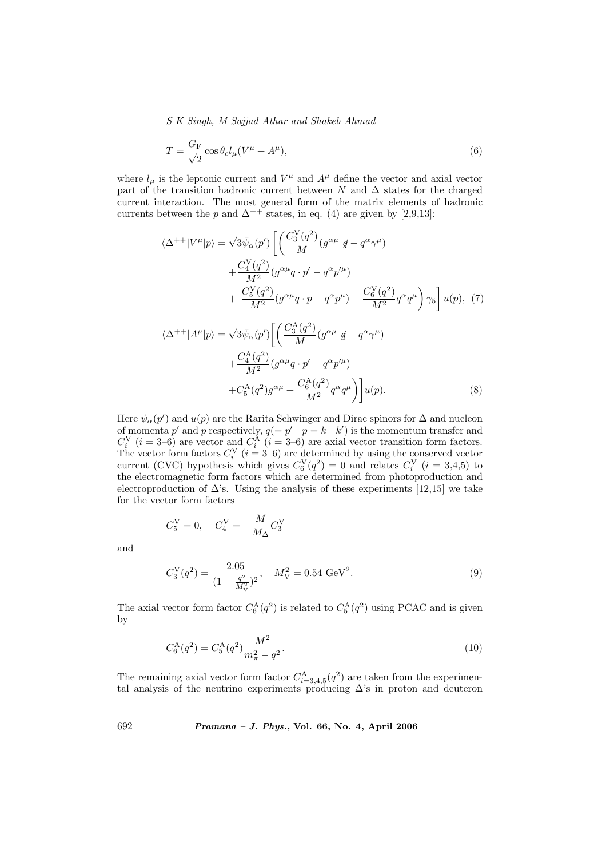S K Singh, M Sajjad Athar and Shakeb Ahmad

$$
T = \frac{G_{\rm F}}{\sqrt{2}} \cos \theta_c l_\mu (V^\mu + A^\mu),\tag{6}
$$

where  $l_{\mu}$  is the leptonic current and  $V^{\mu}$  and  $A^{\mu}$  define the vector and axial vector part of the transition hadronic current between N and  $\Delta$  states for the charged current interaction. The most general form of the matrix elements of hadronic currents between the p and  $\Delta^{++}$  states, in eq. (4) are given by [2,9,13]:

$$
\langle \Delta^{++} | V^{\mu} | p \rangle = \sqrt{3} \bar{\psi}_{\alpha} (p') \left[ \left( \frac{C_3^{\rm V}(q^2)}{M} (g^{\alpha \mu} \not q - q^{\alpha} \gamma^{\mu}) \right. \right. \\ \left. + \frac{C_4^{\rm V}(q^2)}{M^2} (g^{\alpha \mu} q \cdot p' - q^{\alpha} p'^{\mu}) \right. \\ \left. + \frac{C_5^{\rm V}(q^2)}{M^2} (g^{\alpha \mu} q \cdot p - q^{\alpha} p^{\mu}) + \frac{C_6^{\rm V}(q^2)}{M^2} q^{\alpha} q^{\mu} \right) \gamma_5 \right] u(p), (7)
$$
  

$$
\langle \Delta^{++} | A^{\mu} | p \rangle = \sqrt{3} \bar{\psi}_{\alpha} (p') \left[ \left( \frac{C_3^{\rm A}(q^2)}{M} (g^{\alpha \mu} \not q - q^{\alpha} \gamma^{\mu}) \right. \\ \left. + \frac{C_4^{\rm A}(q^2)}{M^2} (g^{\alpha \mu} q \cdot p' - q^{\alpha} p'^{\mu}) \right. \\ \left. + C_5^{\rm A}(q^2) g^{\alpha \mu} + \frac{C_6^{\rm A}(q^2)}{M^2} q^{\alpha} q^{\mu} \right) \right] u(p). \tag{8}
$$

Here  $\psi_{\alpha}(p')$  and  $u(p)$  are the Rarita Schwinger and Dirac spinors for  $\Delta$  and nucleon of momenta p' and p respectively,  $q = p' - p = k - k'$  is the momentum transfer and  $C_i^{\rm V}$  ( $i = 3$ –6) are vector and  $C_i^{\rm A}$  ( $i = 3$ –6) are axial vector transition form factors. The vector form factors  $C_i^V$   $(i = 3-6)$  are determined by using the conserved vector current (CVC) hypothesis which gives  $C_6^V(q^2) = 0$  and relates  $C_i^V(i = 3, 4, 5)$  to the electromagnetic form factors which are determined from photoproduction and electroproduction of  $\Delta$ 's. Using the analysis of these experiments [12,15] we take for the vector form factors

$$
C_5^V = 0
$$
,  $C_4^V = -\frac{M}{M_{\Delta}} C_3^V$ 

and

$$
C_3^V(q^2) = \frac{2.05}{(1 - \frac{q^2}{M_V^2})^2}, \quad M_V^2 = 0.54 \text{ GeV}^2.
$$
 (9)

The axial vector form factor  $C_6^{\text{A}}(q^2)$  is related to  $C_5^{\text{A}}(q^2)$  using PCAC and is given by

$$
C_6^{\mathcal{A}}(q^2) = C_5^{\mathcal{A}}(q^2) \frac{M^2}{m_{\pi}^2 - q^2}.
$$
\n(10)

The remaining axial vector form factor  $C_{i=3,4,5}^{A}(q^2)$  are taken from the experimental analysis of the neutrino experiments producing  $\Delta$ 's in proton and deuteron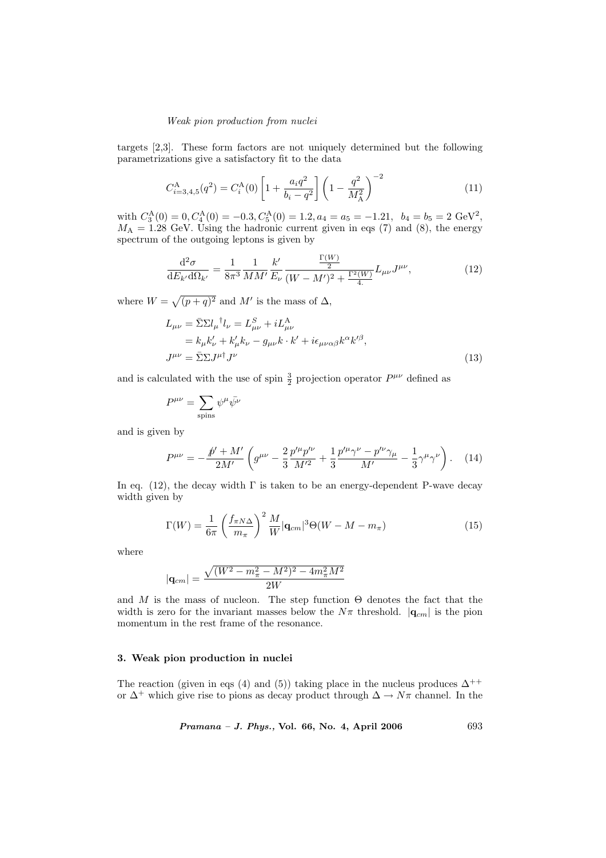targets [2,3]. These form factors are not uniquely determined but the following parametrizations give a satisfactory fit to the data

$$
C_{i=3,4,5}^{\mathcal{A}}(q^2) = C_i^{\mathcal{A}}(0) \left[ 1 + \frac{a_i q^2}{b_i - q^2} \right] \left( 1 - \frac{q^2}{M_{\mathcal{A}}^2} \right)^{-2}
$$
 (11)

with  $C_3^{\text{A}}(0) = 0, C_4^{\text{A}}(0) = -0.3, C_5^{\text{A}}(0) = 1.2, a_4 = a_5 = -1.21, b_4 = b_5 = 2 \text{ GeV}^2,$  $M_A = 1.28$  GeV. Using the hadronic current given in eqs (7) and (8), the energy spectrum of the outgoing leptons is given by

$$
\frac{\mathrm{d}^2 \sigma}{\mathrm{d}E_{k'} \mathrm{d}\Omega_{k'}} = \frac{1}{8\pi^3} \frac{1}{MM'} \frac{k'}{E_{\nu}} \frac{\frac{\Gamma(W)}{2}}{(W - M')^2 + \frac{\Gamma^2(W)}{4}} L_{\mu\nu} J^{\mu\nu},\tag{12}
$$

where  $W =$ p  $\sqrt{(p+q)^2}$  and M' is the mass of  $\Delta$ ,

$$
L_{\mu\nu} = \bar{\Sigma}\Sigma l_{\mu}^{\dagger}l_{\nu} = L_{\mu\nu}^{S} + iL_{\mu\nu}^{\mathcal{A}}
$$
  
\n
$$
= k_{\mu}k_{\nu}^{\prime} + k_{\mu}^{\prime}k_{\nu} - g_{\mu\nu}k \cdot k^{\prime} + i\epsilon_{\mu\nu\alpha\beta}k^{\alpha}k^{\prime\beta},
$$
  
\n
$$
J^{\mu\nu} = \bar{\Sigma}\Sigma J^{\mu\dagger}J^{\nu}
$$
\n(13)

and is calculated with the use of spin  $\frac{3}{2}$  projection operator  $P^{\mu\nu}$  defined as

$$
P^{\mu\nu} = \sum_{\text{spins}} \psi^{\mu} \bar{\psi^{\nu}}
$$

and is given by

$$
P^{\mu\nu} = -\frac{\rlap{/}p' + M'}{2M'} \left( g^{\mu\nu} - \frac{2}{3} \frac{p'^{\mu} p'^{\nu}}{M'^2} + \frac{1}{3} \frac{p'^{\mu} \gamma^{\nu} - p'^{\nu} \gamma_{\mu}}{M'} - \frac{1}{3} \gamma^{\mu} \gamma^{\nu} \right). \tag{14}
$$

In eq. (12), the decay width  $\Gamma$  is taken to be an energy-dependent P-wave decay width given by

$$
\Gamma(W) = \frac{1}{6\pi} \left(\frac{f_{\pi N\Delta}}{m_{\pi}}\right)^2 \frac{M}{W} |\mathbf{q}_{cm}|^3 \Theta(W - M - m_{\pi}) \tag{15}
$$

where

$$
|\mathbf{q}_{cm}| = \frac{\sqrt{(W^2 - m_{\pi}^2 - M^2)^2 - 4m_{\pi}^2 M^2}}{2W}
$$

and M is the mass of nucleon. The step function  $\Theta$  denotes the fact that the width is zero for the invariant masses below the  $N\pi$  threshold.  $|\mathbf{q}_{cm}|$  is the pion momentum in the rest frame of the resonance.

## 3. Weak pion production in nuclei

The reaction (given in eqs (4) and (5)) taking place in the nucleus produces  $\Delta^{++}$ or  $\Delta^+$  which give rise to pions as decay product through  $\Delta \to N\pi$  channel. In the

Pramana – J. Phys., Vol. 66, No. 4, April 2006 693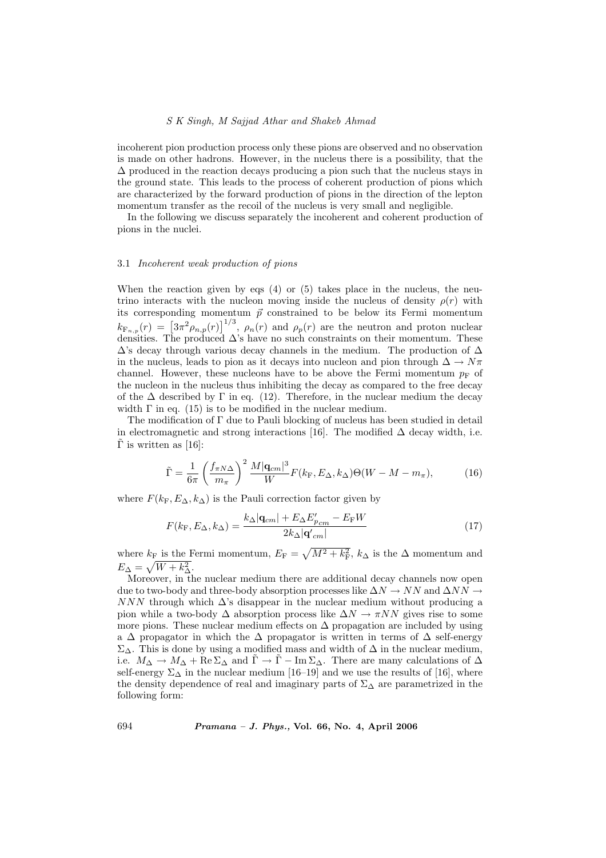### S K Singh, M Sajjad Athar and Shakeb Ahmad

incoherent pion production process only these pions are observed and no observation is made on other hadrons. However, in the nucleus there is a possibility, that the  $\Delta$  produced in the reaction decays producing a pion such that the nucleus stays in the ground state. This leads to the process of coherent production of pions which are characterized by the forward production of pions in the direction of the lepton momentum transfer as the recoil of the nucleus is very small and negligible.

In the following we discuss separately the incoherent and coherent production of pions in the nuclei.

## 3.1 Incoherent weak production of pions

When the reaction given by eqs  $(4)$  or  $(5)$  takes place in the nucleus, the neutrino interacts with the nucleon moving inside the nucleus of density  $\rho(r)$  with its corresponding momentum  $\vec{p}$  constrained to be below its Fermi momentum  $k_{\mathrm{F}_{n,p}}(r) = \left[3\pi^2 \rho_{n,p}(r)\right]^{1/3}, \rho_n(r)$  and  $\rho_p(r)$  are the neutron and proton nuclear densities. The produced  $\Delta$ 's have no such constraints on their momentum. These  $\Delta$ 's decay through various decay channels in the medium. The production of  $\Delta$ in the nucleus, leads to pion as it decays into nucleon and pion through  $\Delta \rightarrow N\pi$ channel. However, these nucleons have to be above the Fermi momentum  $p_F$  of the nucleon in the nucleus thus inhibiting the decay as compared to the free decay of the  $\Delta$  described by  $\Gamma$  in eq. (12). Therefore, in the nuclear medium the decay width  $\Gamma$  in eq. (15) is to be modified in the nuclear medium.

The modification of Γ due to Pauli blocking of nucleus has been studied in detail in electromagnetic and strong interactions [16]. The modified  $\Delta$  decay width, i.e.  $Γ$  is written as [16]:

$$
\tilde{\Gamma} = \frac{1}{6\pi} \left(\frac{f_{\pi N\Delta}}{m_{\pi}}\right)^2 \frac{M|\mathbf{q}_{cm}|^3}{W} F(k_{\rm F}, E_{\Delta}, k_{\Delta}) \Theta(W - M - m_{\pi}),\tag{16}
$$

where  $F(k_{\rm F}, E_{\Delta}, k_{\Delta})$  is the Pauli correction factor given by

$$
F(k_{\rm F}, E_{\Delta}, k_{\Delta}) = \frac{k_{\Delta}|\mathbf{q}_{cm}| + E_{\Delta}E'_{p_{cm}} - E_{\rm F}W}{2k_{\Delta}|\mathbf{q}'_{cm}|}
$$
(17)

where  $k_F$  is the Fermi momentum,  $E_F =$  $k_{\text{F}}$  is the Fermi momentum,  $E_{\text{F}} = \sqrt{M^2 + k_{\text{F}}^2}$ ,  $k_{\Delta}$  is the  $\Delta$  momentum and  $E_{\Delta} = \sqrt{W + k_{\Delta}^2}.$ 

Moreover, in the nuclear medium there are additional decay channels now open due to two-body and three-body absorption processes like  $\Delta N \to NN$  and  $\Delta NN \to$  $NNN$  through which  $\Delta$ 's disappear in the nuclear medium without producing a pion while a two-body  $\Delta$  absorption process like  $\Delta N \to \pi NN$  gives rise to some more pions. These nuclear medium effects on  $\Delta$  propagation are included by using a  $\Delta$  propagator in which the  $\Delta$  propagator is written in terms of  $\Delta$  self-energy  $\Sigma_{\Delta}$ . This is done by using a modified mass and width of  $\Delta$  in the nuclear medium, i.e.  $M_{\Delta} \to M_{\Delta} + \text{Re} \Sigma_{\Delta}$  and  $\Gamma \to \Gamma - \text{Im} \Sigma_{\Delta}$ . There are many calculations of  $\Delta$ self-energy  $\Sigma_{\Delta}$  in the nuclear medium [16–19] and we use the results of [16], where the density dependence of real and imaginary parts of  $\Sigma_{\Delta}$  are parametrized in the following form: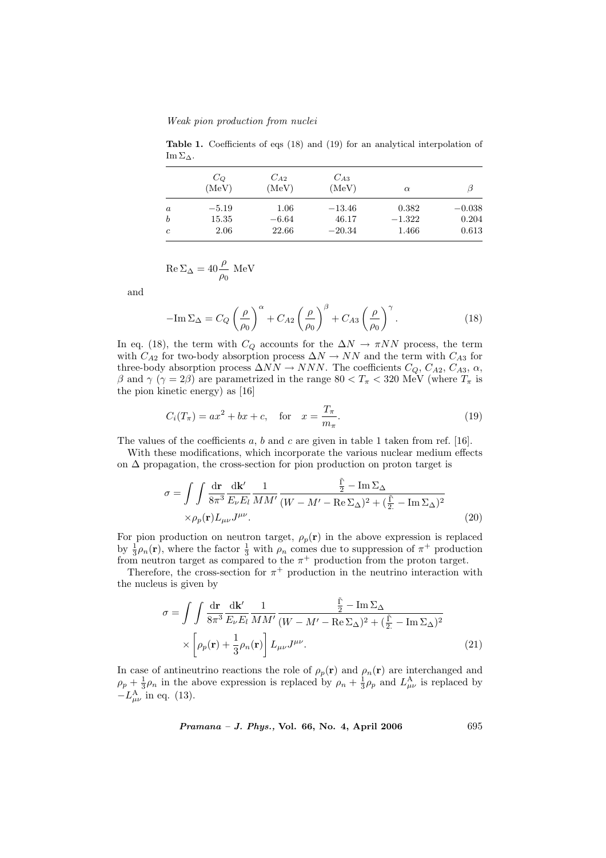Weak pion production from nuclei

Table 1. Coefficients of eqs (18) and (19) for an analytical interpolation of Im  $\Sigma_{\Delta}$ .

|                  | $C_{Q}$<br>(MeV) | $C_{A2}$<br>(MeV) | $C_{A3}$<br>(MeV) | $\alpha$ |          |
|------------------|------------------|-------------------|-------------------|----------|----------|
| $\boldsymbol{a}$ | $-5.19$          | $1.06\,$          | $-13.46$          | 0.382    | $-0.038$ |
| $\boldsymbol{b}$ | 15.35            | $-6.64$           | 46.17             | $-1.322$ | 0.204    |
| $\mathfrak{c}$   | 2.06             | 22.66             | $-20.34$          | 1.466    | 0.613    |

$$
\operatorname{Re}\Sigma_{\Delta} = 40 \frac{\rho}{\rho_0} \operatorname{MeV}
$$

and

$$
-\mathrm{Im}\,\Sigma_{\Delta} = C_Q \left(\frac{\rho}{\rho_0}\right)^{\alpha} + C_{A2} \left(\frac{\rho}{\rho_0}\right)^{\beta} + C_{A3} \left(\frac{\rho}{\rho_0}\right)^{\gamma}.
$$
 (18)

In eq. (18), the term with  $C_Q$  accounts for the  $\Delta N \to \pi NN$  process, the term with  $C_{A2}$  for two-body absorption process  $\Delta N \rightarrow NN$  and the term with  $C_{A3}$  for three-body absorption process  $\Delta NN \rightarrow NNN$ . The coefficients  $C_Q$ ,  $C_{A2}$ ,  $C_{A3}$ ,  $\alpha$ , β and  $\gamma$  ( $\gamma = 2\beta$ ) are parametrized in the range 80 <  $T_\pi$  < 320 MeV (where  $T_\pi$  is the pion kinetic energy) as [16]

$$
C_i(T_\pi) = ax^2 + bx + c, \quad \text{for} \quad x = \frac{T_\pi}{m_\pi}.
$$
 (19)

The values of the coefficients  $a, b$  and  $c$  are given in table 1 taken from ref. [16].

With these modifications, which incorporate the various nuclear medium effects on  $\Delta$  propagation, the cross-section for pion production on proton target is

$$
\sigma = \int \int \frac{d\mathbf{r}}{8\pi^3} \frac{d\mathbf{k}'}{E_{\nu}E_l} \frac{1}{MM'} \frac{\frac{\tilde{\Gamma}}{2} - \operatorname{Im}\Sigma_{\Delta}}{(W - M' - \operatorname{Re}\Sigma_{\Delta})^2 + (\frac{\tilde{\Gamma}}{2} - \operatorname{Im}\Sigma_{\Delta})^2} \times \rho_p(\mathbf{r}) L_{\mu\nu} J^{\mu\nu}.
$$
\n(20)

For pion production on neutron target,  $\rho_p(\mathbf{r})$  in the above expression is replaced by  $\frac{1}{3}\rho_n(\mathbf{r})$ , where the factor  $\frac{1}{3}$  with  $\rho_n$  comes due to suppression of  $\pi^+$  production from neutron target as compared to the  $\pi^+$  production from the proton target.

Therefore, the cross-section for  $\pi^+$  production in the neutrino interaction with the nucleus is given by

$$
\sigma = \int \int \frac{d\mathbf{r}}{8\pi^3} \frac{d\mathbf{k}'}{E_{\nu}E_l} \frac{1}{MM'} \frac{\frac{\tilde{\Gamma}}{2} - \operatorname{Im} \Sigma_{\Delta}}{(W - M' - \operatorname{Re} \Sigma_{\Delta})^2 + (\frac{\tilde{\Gamma}}{2.} - \operatorname{Im} \Sigma_{\Delta})^2} \times \left[\rho_p(\mathbf{r}) + \frac{1}{3}\rho_n(\mathbf{r})\right] L_{\mu\nu} J^{\mu\nu}.
$$
\n(21)

In case of antineutrino reactions the role of  $\rho_p(\mathbf{r})$  and  $\rho_n(\mathbf{r})$  are interchanged and  $\rho_p + \frac{1}{3}\rho_n$  in the above expression is replaced by  $\rho_n + \frac{1}{3}\rho_p$  and  $L^A_{\mu\nu}$  is replaced by  $-L^{\text{A}}_{\mu\nu}$  in eq. (13).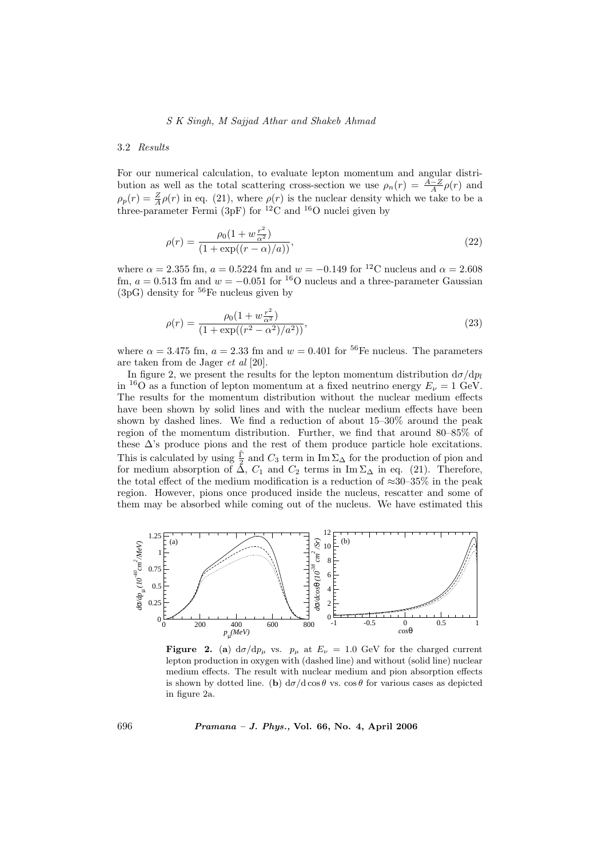## S K Singh, M Sajjad Athar and Shakeb Ahmad

## 3.2 Results

For our numerical calculation, to evaluate lepton momentum and angular distribution as well as the total scattering cross-section we use  $\rho_n(r) = \frac{A-Z}{A} \rho(r)$  and  $\rho_p(r) = \frac{Z}{A}\rho(r)$  in eq. (21), where  $\rho(r)$  is the nuclear density which we take to be a three-parameter Fermi (3pF) for  ${}^{12}$ C and  ${}^{16}$ O nuclei given by

$$
\rho(r) = \frac{\rho_0 (1 + w \frac{r^2}{\alpha^2})}{(1 + \exp((r - \alpha)/a))},\tag{22}
$$

where  $\alpha = 2.355$  fm,  $a = 0.5224$  fm and  $w = -0.149$  for <sup>12</sup>C nucleus and  $\alpha = 2.608$ fm,  $a = 0.513$  fm and  $w = -0.051$  for <sup>16</sup>O nucleus and a three-parameter Gaussian  $(3p)$  density for <sup>56</sup>Fe nucleus given by

$$
\rho(r) = \frac{\rho_0 (1 + w \frac{r^2}{\alpha^2})}{(1 + \exp((r^2 - \alpha^2)/a^2))},\tag{23}
$$

where  $\alpha = 3.475$  fm,  $a = 2.33$  fm and  $w = 0.401$  for <sup>56</sup>Fe nucleus. The parameters are taken from de Jager et al [20].

In figure 2, we present the results for the lepton momentum distribution  $d\sigma/dp_l$ in <sup>16</sup>O as a function of lepton momentum at a fixed neutrino energy  $E<sub>U</sub> = 1$  GeV. The results for the momentum distribution without the nuclear medium effects have been shown by solid lines and with the nuclear medium effects have been shown by dashed lines. We find a reduction of about 15–30% around the peak region of the momentum distribution. Further, we find that around 80–85% of these  $\Delta$ 's produce pions and the rest of them produce particle hole excitations. This is calculated by using  $\frac{\tilde{\Gamma}}{2}$  and  $C_3$  term in Im  $\Sigma_{\Delta}$  for the production of pion and for medium absorption of  $\Delta$ ,  $C_1$  and  $C_2$  terms in Im  $\Sigma_{\Delta}$  in eq. (21). Therefore, the total effect of the medium modification is a reduction of  $\approx 30-35\%$  in the peak region. However, pions once produced inside the nucleus, rescatter and some of them may be absorbed while coming out of the nucleus. We have estimated this



Figure 2. (a)  $d\sigma/dp_\mu$  vs.  $p_\mu$  at  $E_\nu = 1.0$  GeV for the charged current lepton production in oxygen with (dashed line) and without (solid line) nuclear medium effects. The result with nuclear medium and pion absorption effects is shown by dotted line. (b)  $d\sigma/d\cos\theta$  vs.  $\cos\theta$  for various cases as depicted in figure 2a.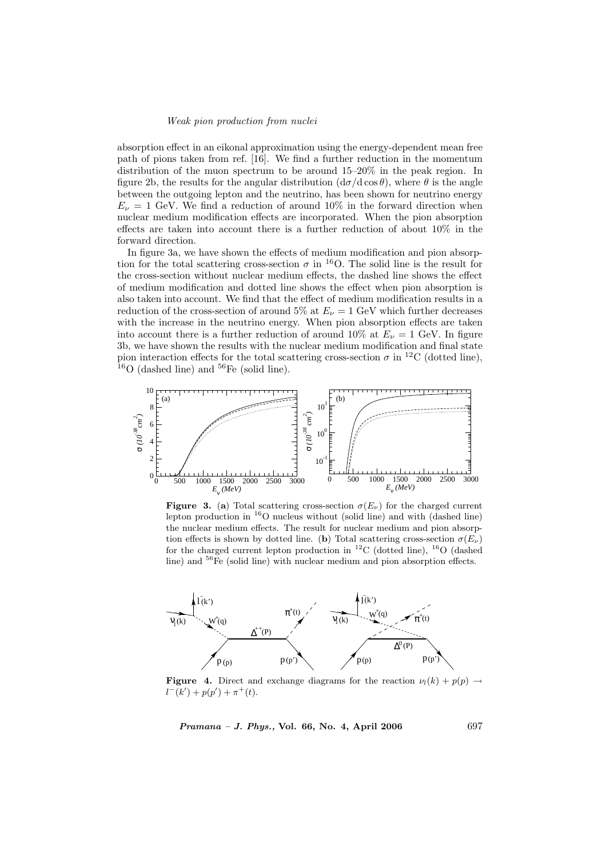absorption effect in an eikonal approximation using the energy-dependent mean free path of pions taken from ref. [16]. We find a further reduction in the momentum distribution of the muon spectrum to be around 15–20% in the peak region. In figure 2b, the results for the angular distribution  $(d\sigma/d \cos \theta)$ , where  $\theta$  is the angle between the outgoing lepton and the neutrino, has been shown for neutrino energy  $E_{\nu} = 1$  GeV. We find a reduction of around 10% in the forward direction when nuclear medium modification effects are incorporated. When the pion absorption effects are taken into account there is a further reduction of about 10% in the forward direction.

In figure 3a, we have shown the effects of medium modification and pion absorption for the total scattering cross-section  $\sigma$  in <sup>16</sup>O. The solid line is the result for the cross-section without nuclear medium effects, the dashed line shows the effect of medium modification and dotted line shows the effect when pion absorption is also taken into account. We find that the effect of medium modification results in a reduction of the cross-section of around 5% at  $E_{\nu} = 1$  GeV which further decreases with the increase in the neutrino energy. When pion absorption effects are taken into account there is a further reduction of around 10% at  $E_{\nu} = 1$  GeV. In figure 3b, we have shown the results with the nuclear medium modification and final state pion interaction effects for the total scattering cross-section  $\sigma$  in <sup>12</sup>C (dotted line),  $16$ O (dashed line) and  $56$ Fe (solid line).



**Figure 3.** (a) Total scattering cross-section  $\sigma(E_{\nu})$  for the charged current lepton production in  $^{16}$ O nucleus without (solid line) and with (dashed line) the nuclear medium effects. The result for nuclear medium and pion absorption effects is shown by dotted line. (b) Total scattering cross-section  $\sigma(E_{\nu})$ for the charged current lepton production in  ${}^{12}$ C (dotted line),  ${}^{16}$ O (dashed line) and  ${}^{56}$ Fe (solid line) with nuclear medium and pion absorption effects.



**Figure 4.** Direct and exchange diagrams for the reaction  $\nu_l(k) + p(p) \rightarrow$  $l^-(k') + p(p') + \pi^+(t).$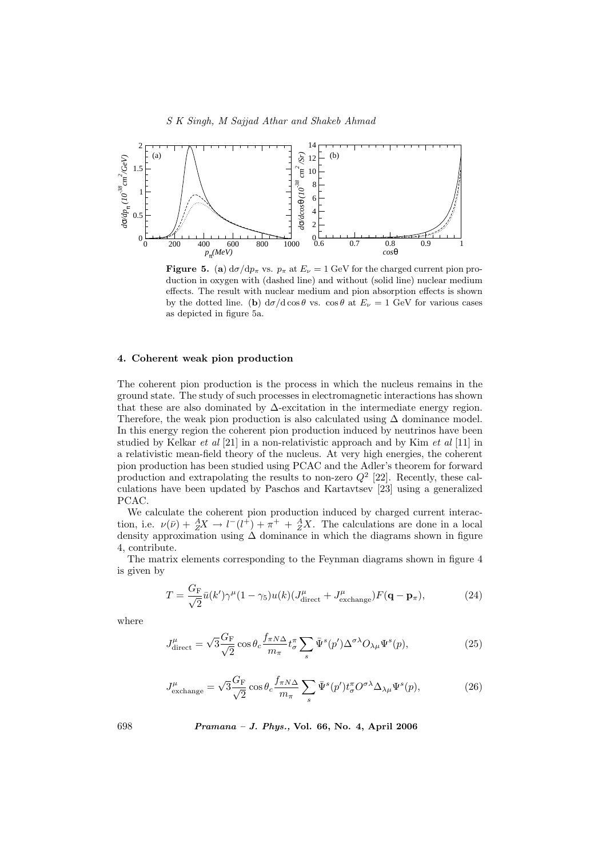

**Figure 5.** (a)  $d\sigma/dp_{\pi}$  vs.  $p_{\pi}$  at  $E_{\nu} = 1$  GeV for the charged current pion production in oxygen with (dashed line) and without (solid line) nuclear medium effects. The result with nuclear medium and pion absorption effects is shown by the dotted line. (b)  $d\sigma/d\cos\theta$  vs.  $\cos\theta$  at  $E_{\nu} = 1$  GeV for various cases as depicted in figure 5a.

## 4. Coherent weak pion production

The coherent pion production is the process in which the nucleus remains in the ground state. The study of such processes in electromagnetic interactions has shown that these are also dominated by  $\Delta$ -excitation in the intermediate energy region. Therefore, the weak pion production is also calculated using  $\Delta$  dominance model. In this energy region the coherent pion production induced by neutrinos have been studied by Kelkar et al [21] in a non-relativistic approach and by Kim et al [11] in a relativistic mean-field theory of the nucleus. At very high energies, the coherent pion production has been studied using PCAC and the Adler's theorem for forward production and extrapolating the results to non-zero  $Q^2$  [22]. Recently, these calculations have been updated by Paschos and Kartavtsev [23] using a generalized PCAC.

We calculate the coherent pion production induced by charged current interaction, i.e.  $\nu(\bar{\nu}) + {}^A_ZX \to l^-(l^+) + \pi^+ + {}^A_ZX$ . The calculations are done in a local density approximation using  $\Delta$  dominance in which the diagrams shown in figure 4, contribute.

The matrix elements corresponding to the Feynman diagrams shown in figure 4 is given by

$$
T = \frac{G_{\rm F}}{\sqrt{2}} \bar{u}(k')\gamma^{\mu} (1 - \gamma_5)u(k)(J_{\rm direct}^{\mu} + J_{\rm exchange}^{\mu})F(\mathbf{q} - \mathbf{p}_{\pi}), \tag{24}
$$

where

$$
J_{\text{direct}}^{\mu} = \sqrt{3} \frac{G_{\text{F}}}{\sqrt{2}} \cos \theta_c \frac{f_{\pi N \Delta}}{m_{\pi}} t_{\sigma}^{\pi} \sum_s \bar{\Psi}^s(p') \Delta^{\sigma \lambda} O_{\lambda \mu} \Psi^s(p), \tag{25}
$$

$$
J_{\text{exchange}}^{\mu} = \sqrt{3} \frac{G_F}{\sqrt{2}} \cos \theta_c \frac{f_{\pi N \Delta}}{m_{\pi}} \sum_s \bar{\Psi}^s(p') t_{\sigma}^{\pi} O^{\sigma \lambda} \Delta_{\lambda \mu} \Psi^s(p), \tag{26}
$$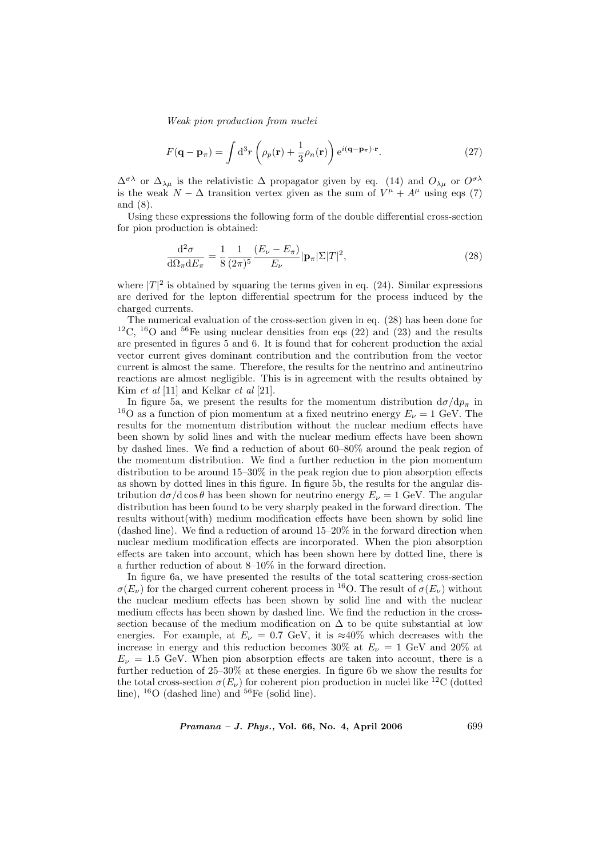$$
F(\mathbf{q} - \mathbf{p}_{\pi}) = \int d^3 r \left( \rho_p(\mathbf{r}) + \frac{1}{3} \rho_n(\mathbf{r}) \right) e^{i(\mathbf{q} - \mathbf{p}_{\pi}) \cdot \mathbf{r}}.
$$
 (27)

 $\Delta^{\sigma\lambda}$  or  $\Delta_{\lambda\mu}$  is the relativistic  $\Delta$  propagator given by eq. (14) and  $O_{\lambda\mu}$  or  $O^{\sigma\lambda}$ is the weak  $N - \Delta$  transition vertex given as the sum of  $V^{\mu} + A^{\mu}$  using eqs (7) and (8).

Using these expressions the following form of the double differential cross-section for pion production is obtained:

$$
\frac{\mathrm{d}^2 \sigma}{\mathrm{d}\Omega_\pi \mathrm{d}E_\pi} = \frac{1}{8} \frac{1}{(2\pi)^5} \frac{(E_\nu - E_\pi)}{E_\nu} |\mathbf{p}_\pi| \Sigma |T|^2, \tag{28}
$$

where  $|T|^2$  is obtained by squaring the terms given in eq. (24). Similar expressions are derived for the lepton differential spectrum for the process induced by the charged currents.

The numerical evaluation of the cross-section given in eq. (28) has been done for <sup>12</sup>C, <sup>16</sup>O and <sup>56</sup>Fe using nuclear densities from eqs (22) and (23) and the results are presented in figures 5 and 6. It is found that for coherent production the axial vector current gives dominant contribution and the contribution from the vector current is almost the same. Therefore, the results for the neutrino and antineutrino reactions are almost negligible. This is in agreement with the results obtained by Kim *et al* [11] and Kelkar *et al* [21].

In figure 5a, we present the results for the momentum distribution  $d\sigma/dp_{\pi}$  in <sup>16</sup>O as a function of pion momentum at a fixed neutrino energy  $E_{\nu} = 1$  GeV. The results for the momentum distribution without the nuclear medium effects have been shown by solid lines and with the nuclear medium effects have been shown by dashed lines. We find a reduction of about 60–80% around the peak region of the momentum distribution. We find a further reduction in the pion momentum distribution to be around 15–30% in the peak region due to pion absorption effects as shown by dotted lines in this figure. In figure 5b, the results for the angular distribution  $d\sigma/d \cos\theta$  has been shown for neutrino energy  $E_{\nu} = 1$  GeV. The angular distribution has been found to be very sharply peaked in the forward direction. The results without(with) medium modification effects have been shown by solid line (dashed line). We find a reduction of around 15–20% in the forward direction when nuclear medium modification effects are incorporated. When the pion absorption effects are taken into account, which has been shown here by dotted line, there is a further reduction of about 8–10% in the forward direction.

In figure 6a, we have presented the results of the total scattering cross-section  $\sigma(E_{\nu})$  for the charged current coherent process in <sup>16</sup>O. The result of  $\sigma(E_{\nu})$  without the nuclear medium effects has been shown by solid line and with the nuclear medium effects has been shown by dashed line. We find the reduction in the crosssection because of the medium modification on  $\Delta$  to be quite substantial at low energies. For example, at  $E_{\nu} = 0.7 \text{ GeV}$ , it is ≈40% which decreases with the increase in energy and this reduction becomes 30% at  $E_{\nu} = 1$  GeV and 20% at  $E_{\nu} = 1.5$  GeV. When pion absorption effects are taken into account, there is a further reduction of 25–30% at these energies. In figure 6b we show the results for the total cross-section  $\sigma(E_{\nu})$  for coherent pion production in nuclei like <sup>12</sup>C (dotted line),  $^{16}$ O (dashed line) and  $^{56}$ Fe (solid line).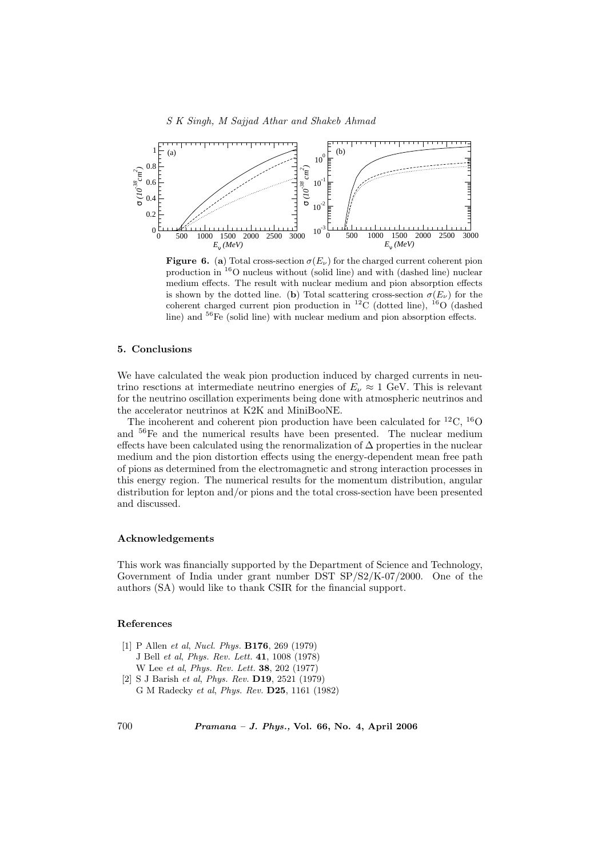

**Figure 6.** (a) Total cross-section  $\sigma(E_{\nu})$  for the charged current coherent pion production in <sup>16</sup>O nucleus without (solid line) and with (dashed line) nuclear medium effects. The result with nuclear medium and pion absorption effects is shown by the dotted line. (b) Total scattering cross-section  $\sigma(E_{\nu})$  for the coherent charged current pion production in  ${}^{12}$ C (dotted line),  ${}^{16}O$  (dashed line) and <sup>56</sup>Fe (solid line) with nuclear medium and pion absorption effects.

## 5. Conclusions

We have calculated the weak pion production induced by charged currents in neutrino resctions at intermediate neutrino energies of  $E_\nu \approx 1$  GeV. This is relevant for the neutrino oscillation experiments being done with atmospheric neutrinos and the accelerator neutrinos at K2K and MiniBooNE.

The incoherent and coherent pion production have been calculated for  ${}^{12}C$ ,  ${}^{16}O$ and <sup>56</sup>Fe and the numerical results have been presented. The nuclear medium effects have been calculated using the renormalization of ∆ properties in the nuclear medium and the pion distortion effects using the energy-dependent mean free path of pions as determined from the electromagnetic and strong interaction processes in this energy region. The numerical results for the momentum distribution, angular distribution for lepton and/or pions and the total cross-section have been presented and discussed.

# Acknowledgements

This work was financially supported by the Department of Science and Technology, Government of India under grant number DST SP/S2/K-07/2000. One of the authors (SA) would like to thank CSIR for the financial support.

## References

- [1] P Allen et al, Nucl. Phys. B176, 269 (1979) J Bell et al, Phys. Rev. Lett. 41, 1008 (1978) W Lee et al, Phys. Rev. Lett. 38, 202 (1977)
- [2] S J Barish et al, Phys. Rev. D19, 2521 (1979) G M Radecky et al, Phys. Rev. D25, 1161 (1982)